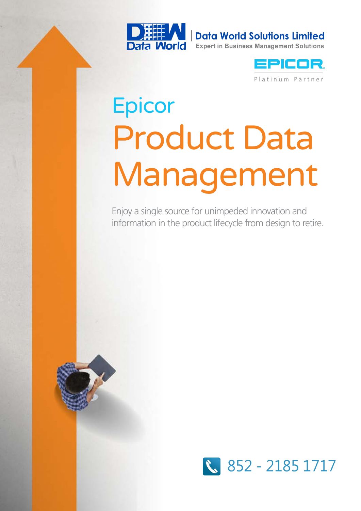

**Data World Solutions Limited** 

**Expert in Business Management Solutions** 



# **Epicor** Product Data Management

Enjoy a single source for unimpeded innovation and information in the product lifecycle from design to retire.



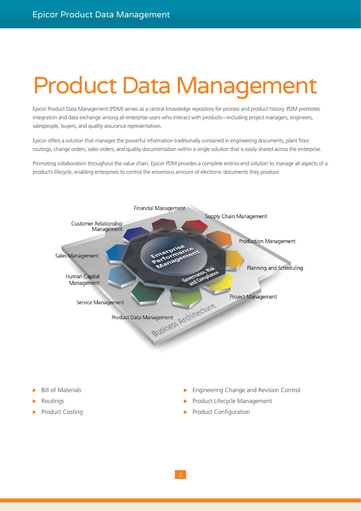## Product Data Management

Epicor Product Data Management (PDM) serves as a central knowledge repository for process and product history. PDM promotes integration and data exchange among all enterprise users who interact with products—including project managers, engineers, salespeople, buyers, and quality assurance representatives.

Epicor offers a solution that manages the powerful information traditionally contained in engineering documents, plant floor routings, change orders, sales orders, and quality documentation within a single solution that is easily shared across the enterprise.

Promoting collaboration throughout the value chain, Epicor PDM provides a complete end-to-end solution to manage all aspects of a product's lifecycle, enabling enterprises to control the enormous amount of electronic documents they produce.



- **Bill of Materials**
- **Routings**
- Product Costing
- $\blacktriangleright$  Engineering Change and Revision Control
- Product Lifecycle Management
- $\blacktriangleright$  Product Configuration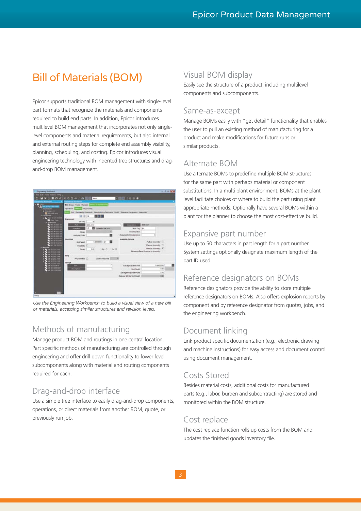## Bill of Materials (BOM)

Epicor supports traditional BOM management with single-level part formats that recognize the materials and components required to build end parts. In addition, Epicor introduces multilevel BOM management that incorporates not only singlelevel components and material requirements, but also internal and external routing steps for complete end assembly visibility, planning, scheduling, and costing. Epicor introduces visual engineering technology with indented tree structures and dragand-drop BOM management.



*Use the Engineering Workbench to build a visual view of a new bill of materials, accessing similar structures and revision levels.*

## Methods of manufacturing

Manage product BOM and routings in one central location. Part specific methods of manufacturing are controlled through engineering and offer drill-down functionality to lower level subcomponents along with material and routing components required for each.

## Drag-and-drop interface

Use a simple tree interface to easily drag-and-drop components, operations, or direct materials from another BOM, quote, or previously run job.

## Visual BOM display

Easily see the structure of a product, including multilevel components and subcomponents.

## Same-as-except

Manage BOMs easily with "get detail" functionality that enables the user to pull an existing method of manufacturing for a product and make modifications for future runs or similar products.

## Alternate BOM

Use alternate BOMs to predefine multiple BOM structures for the same part with perhaps material or component substitutions. In a multi plant environment, BOMs at the plant level facilitate choices of where to build the part using plant appropriate methods. Optionally have several BOMs within a plant for the planner to choose the most cost-effective build.

## Expansive part number

Use up to 50 characters in part length for a part number. System settings optionally designate maximum length of the part ID used.

## Reference designators on BOMs

Reference designators provide the ability to store multiple reference designators on BOMs. Also offers explosion reports by component and by reference designator from quotes, jobs, and the engineering workbench.

## Document linking

Link product specific documentation (e.g., electronic drawing and machine instructions) for easy access and document control using document management.

## Costs Stored

Besides material costs, additional costs for manufactured parts (e.g., labor, burden and subcontracting) are stored and monitored within the BOM structure.

## Cost replace

The cost replace function rolls up costs from the BOM and updates the finished goods inventory file.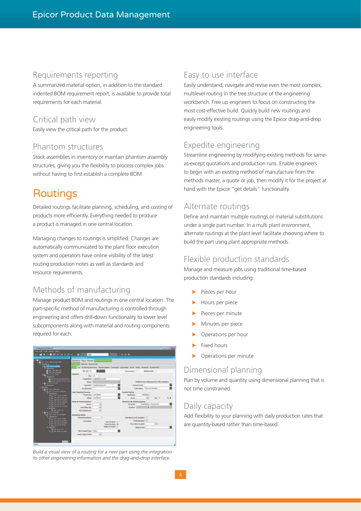#### Requirements reporting

A summarized material option, in addition to the standard indented BOM requirement report, is available to provide total requirements for each material.

## Critical path view

Easily view the critical path for the product.

#### Phantom structures

Stock assemblies in inventory or maintain phantom assembly structures, giving you the flexibility to process complex jobs without having to first establish a complete BOM.

## **Routings**

Detailed routings facilitate planning, scheduling, and costing of products more efficiently. Everything needed to produce a product is managed in one central location.

Managing changes to routings is simplified. Changes are automatically communicated to the plant floor execution system and operators have online visibility of the latest routing production notes as well as standards and resource requirements.

## Methods of manufacturing

Manage product BOM and routings in one central location. The part-specific method of manufacturing is controlled through engineering and offers drill-down functionality to lower level subcomponents along with material and routing components required for each.



*Build a visual view of a routing for a new part using the integration to other engineering information and the drag-and-drop interface.*

## Easy to use interface

Easily understand, navigate and revise even the most complex, multilevel routing in the tree structure of the engineering workbench. Free up engineers to focus on constructing the most cost-effective build. Quickly build new routings and easily modify existing routings using the Epicor drag-and-drop engineering tools.

## Expedite engineering

Streamline engineering by modifying existing methods for sameas-except quotations and production runs. Enable engineers to begin with an existing method of manufacture from the methods master, a quote or job, then modify it for the project at hand with the Epicor "get details" functionality.

## Alternate routings

Define and maintain multiple routings or material substitutions under a single part number. In a multi plant environment, alternate routings at the plant level facilitate choosing where to build the part using plant appropriate methods.

## Flexible production standards

Manage and measure jobs using traditional time-based production standards including:

- Pieces per hour
- Hours per piece
- Pieces per minute
- Minutes per piece
- Operations per hour
- Fixed hours
- Operations per minute

## Dimensional planning

Plan by volume and quantity using dimensional planning that is not time constrained.

## Daily capacity

Add flexibility to your planning with daily production rates that are quantity-based rather than time-based.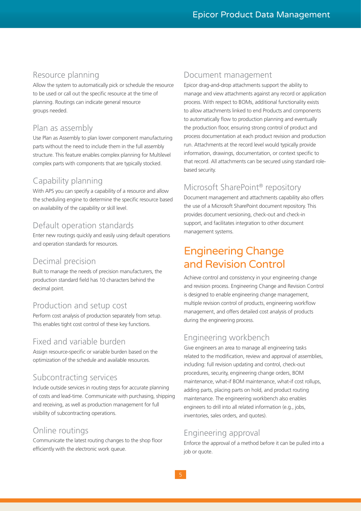## Resource planning

Allow the system to automatically pick or schedule the resource to be used or call out the specific resource at the time of planning. Routings can indicate general resource groups needed.

## Plan as assembly

Use Plan as Assembly to plan lower component manufacturing parts without the need to include them in the full assembly structure. This feature enables complex planning for Multilevel complex parts with components that are typically stocked.

## Capability planning

With APS you can specify a capability of a resource and allow the scheduling engine to determine the specific resource based on availability of the capability or skill level.

## Default operation standards

Enter new routings quickly and easily using default operations and operation standards for resources.

## Decimal precision

Built to manage the needs of precision manufacturers, the production standard field has 10 characters behind the decimal point.

## Production and setup cost

Perform cost analysis of production separately from setup. This enables tight cost control of these key functions.

## Fixed and variable burden

Assign resource-specific or variable burden based on the optimization of the schedule and available resources.

## Subcontracting services

Include outside services in routing steps for accurate planning of costs and lead-time. Communicate with purchasing, shipping and receiving, as well as production management for full visibility of subcontracting operations.

## Online routings

Communicate the latest routing changes to the shop floor efficiently with the electronic work queue.

#### Document management

Epicor drag-and-drop attachments support the ability to manage and view attachments against any record or application process. With respect to BOMs, additional functionality exists to allow attachments linked to end Products and components to automatically flow to production planning and eventually the production floor, ensuring strong control of product and process documentation at each product revision and production run. Attachments at the record level would typically provide information, drawings, documentation, or context specific to that record. All attachments can be secured using standard rolebased security.

## Microsoft SharePoint® repository

Document management and attachments capability also offers the use of a Microsoft SharePoint document repository. This provides document versioning, check-out and check-in support, and facilitates integration to other document management systems.

## Engineering Change and Revision Control

Achieve control and consistency in your engineering change and revision process. Engineering Change and Revision Control is designed to enable engineering change management, multiple revision control of products, engineering workflow management, and offers detailed cost analysis of products during the engineering process.

## Engineering workbench

Give engineers an area to manage all engineering tasks related to the modification, review and approval of assemblies, including: full revision updating and control, check-out procedures, security, engineering change orders, BOM maintenance, what-if BOM maintenance, what-if cost rollups, adding parts, placing parts on hold, and product routing maintenance. The engineering workbench also enables engineers to drill into all related information (e.g., jobs, inventories, sales orders, and quotes).

## Engineering approval

Enforce the approval of a method before it can be pulled into a job or quote.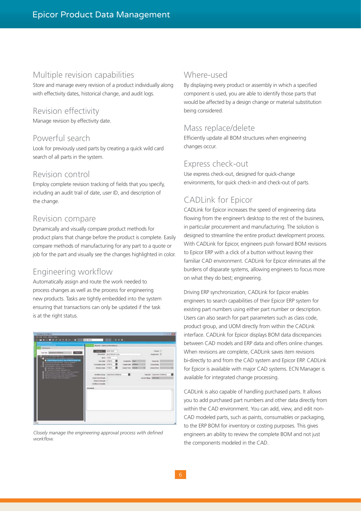## Multiple revision capabilities

Store and manage every revision of a product individually along with effectivity dates, historical change, and audit logs.

## Revision effectivity

Manage revision by effectivity date.

## Powerful search

Look for previously used parts by creating a quick wild card search of all parts in the system.

#### Revision control

Employ complete revision tracking of fields that you specify, including an audit trail of date, user ID, and description of the change.

#### Revision compare

Dynamically and visually compare product methods for product plans that change before the product is complete. Easily compare methods of manufacturing for any part to a quote or job for the part and visually see the changes highlighted in color.

## Engineering workflow

Automatically assign and route the work needed to process changes as well as the process for engineering new products. Tasks are tightly embedded into the system ensuring that transactions can only be updated if the task is at the right status.



*Closely manage the engineering approval process with defined workflow.*

## Where-used

By displaying every product or assembly in which a specified component is used, you are able to identify those parts that would be affected by a design change or material substitution being considered.

#### Mass replace/delete

Efficiently update all BOM structures when engineering changes occur.

## Express check-out

Use express check-out, designed for quick-change environments, for quick check-in and check-out of parts.

## CADLink for Epicor

CADLink for Epicor increases the speed of engineering data flowing from the engineer's desktop to the rest of the business, in particular procurement and manufacturing. The solution is designed to streamline the entire product development process. With CADLink for Epicor, engineers push forward BOM revisions to Epicor ERP with a click of a button without leaving their familiar CAD environment. CADLink for Epicor eliminates all the burdens of disparate systems, allowing engineers to focus more on what they do best; engineering.

Driving ERP synchronization, CADLink for Epicor enables engineers to search capabilities of their Epicor ERP system for existing part numbers using either part number or description. Users can also search for part parameters such as class code, product group, and UOM directly from within the CADLink interface. CADLink for Epicor displays BOM data discrepancies between CAD models and ERP data and offers online changes. When revisions are complete, CADLink saves item revisions bi-directly to and from the CAD system and Epicor ERP. CADLink for Epicor is available with major CAD systems. ECN Manager is available for integrated change processing.

CADLink is also capable of handling purchased parts. It allows you to add purchased part numbers and other data directly from within the CAD environment. You can add, view, and edit non-CAD modeled parts, such as paints, consumables or packaging, to the ERP BOM for inventory or costing purposes. This gives engineers an ability to review the complete BOM and not just the components modeled in the CAD.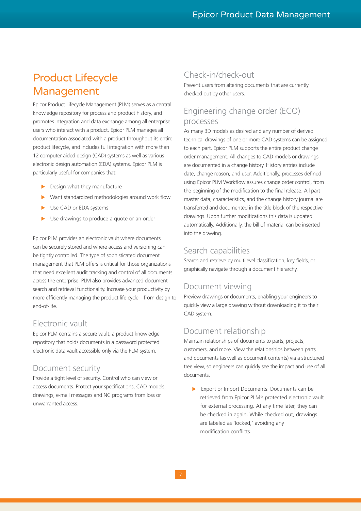## Product Lifecycle Management

Epicor Product Lifecycle Management (PLM) serves as a central knowledge repository for process and product history, and promotes integration and data exchange among all enterprise users who interact with a product. Epicor PLM manages all documentation associated with a product throughout its entire product lifecycle, and includes full integration with more than 12 computer aided design (CAD) systems as well as various electronic design automation (EDA) systems. Epicor PLM is particularly useful for companies that:

- $\blacktriangleright$  Design what they manufacture
- Want standardized methodologies around work flow
- Use CAD or EDA systems
- Use drawings to produce a quote or an order

Epicor PLM provides an electronic vault where documents can be securely stored and where access and versioning can be tightly controlled. The type of sophisticated document management that PLM offers is critical for those organizations that need excellent audit tracking and control of all documents across the enterprise. PLM also provides advanced document search and retrieval functionality. Increase your productivity by more efficiently managing the product life cycle—from design to end-of-life.

## Electronic vault

Epicor PLM contains a secure vault, a product knowledge repository that holds documents in a password protected electronic data vault accessible only via the PLM system.

## Document security

Provide a tight level of security. Control who can view or access documents. Protect your specifications, CAD models, drawings, e-mail messages and NC programs from loss or unwarranted access.

## Check-in/check-out

Prevent users from altering documents that are currently checked out by other users.

## Engineering change order (ECO) processes

As many 3D models as desired and any number of derived technical drawings of one or more CAD systems can be assigned to each part. Epicor PLM supports the entire product change order management. All changes to CAD models or drawings are documented in a change history. History entries include date, change reason, and user. Additionally, processes defined using Epicor PLM Workflow assures change order control, from the beginning of the modification to the final release. All part master data, characteristics, and the change history journal are transferred and documented in the title block of the respective drawings. Upon further modifications this data is updated automatically. Additionally, the bill of material can be inserted into the drawing.

## Search capabilities

Search and retrieve by multilevel classification, key fields, or graphically navigate through a document hierarchy.

## Document viewing

Preview drawings or documents, enabling your engineers to quickly view a large drawing without downloading it to their CAD system.

## Document relationship

Maintain relationships of documents to parts, projects, customers, and more. View the relationships between parts and documents (as well as document contents) via a structured tree view, so engineers can quickly see the impact and use of all documents.

Export or Import Documents: Documents can be retrieved from Epicor PLM's protected electronic vault for external processing. At any time later, they can be checked in again. While checked out, drawings are labeled as 'locked,' avoiding any modification conflicts.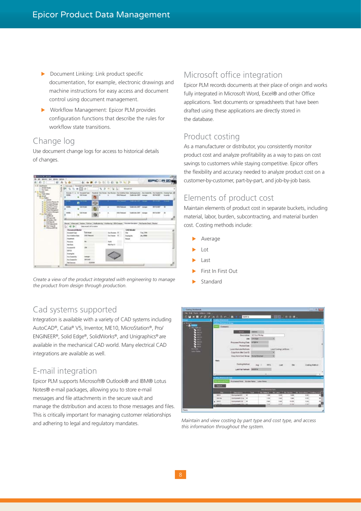- $\blacktriangleright$  Document Linking: Link product specific documentation, for example, electronic drawings and machine instructions for easy access and document control using document management.
- $\triangleright$  Workflow Management: Epicor PLM provides configuration functions that describe the rules for workflow state transitions.

## Change log

Use document change logs for access to historical details of changes.



Create a view of the product integrated with engineering to manage **Standard** *the product from design through production.*

## Microsoft office integration

Epicor PLM records documents at their place of origin and works fully integrated in Microsoft Word, Excel® and other Office applications. Text documents or spreadsheets that have been drafted using these applications are directly stored in the database.

## Product costing

As a manufacturer or distributor, you consistently monitor product cost and analyze profitability as a way to pass on cost savings to customers while staving competitive. Epicor offers the flexibility and accuracy needed to analyze product cost on a customer-by-customer, part-by-part, and job-by-job basis.

## Elements of product cost

Maintain elements of product cost in separate buckets, including material, labor, burden, subcontracting, and material burden cost. Costing methods include:

- Average
- **Lot**
- **Last**
- First In First Out
- 

## Cad systems supported

Integration is available with a variety of CAD systems including AutoCAD®, Catia® V5, Inventor, ME10, MicroStation®, Pro/ ENGINEER®, Solid Edge®, SolidWorks®, and Unigraphics® are available in the mechanical CAD world. Many electrical CAD integrations are available as well.

## E-mail integration

Epicor PLM supports Microsoft® Outlook® and IBM® Lotus Notes® e-mail packages, allowing you to store e-mail messages and file attachments in the secure vault and manage the distribution and access to those messages and files. This is critically important for managing customer relationships and adhering to legal and regulatory mandates.



*Maintain and view costing by part type and cost type, and access this information throughout the system.*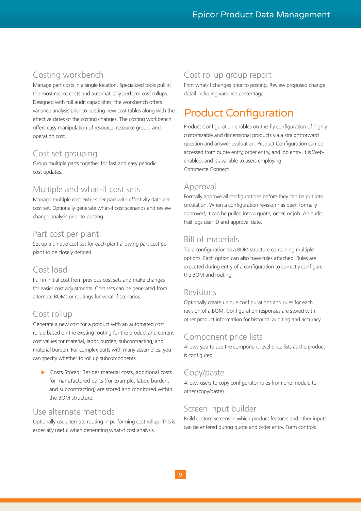## Costing workbench

Manage part costs in a single location. Specialized tools pull in the most recent costs and automatically perform cost rollups. Designed with full audit capabilities, the workbench offers variance analysis prior to posting new cost tables along with the effective dates of the costing changes. The costing workbench offers easy manipulation of resource, resource group, and operation cost.

## Cost set grouping

Group multiple parts together for fast and easy periodic cost updates.

## Multiple and what-if cost sets

Manage multiple cost entries per part with effectivity date per cost set. Optionally generate what-if cost scenarios and review change analysis prior to posting.

## Part cost per plant

Set up a unique cost set for each plant allowing part cost per plant to be closely defined.

## Cost load

Pull in initial cost from previous cost sets and make changes for easier cost adjustments. Cost sets can be generated from alternate BOMs or routings for what-if scenarios.

## Cost rollup

Generate a new cost for a product with an automated cost rollup based on the existing routing for the product and current cost values for material, labor, burden, subcontracting, and material burden. For complex parts with many assemblies, you can specify whether to roll up subcomponents.

 $\triangleright$  Costs Stored: Besides material costs, additional costs for manufactured parts (for example, labor, burden, and subcontracting) are stored and monitored within the BOM structure.

## Use alternate methods

Optionally use alternate routing in performing cost rollup. This is especially useful when generating what-if cost analysis.

## Cost rollup group report

Print what-if changes prior to posting. Review proposed change detail including variance percentage.

## Product Configuration

Product Configuration enables on-the-fly configuration of highly customizable and dimensional products via a straightforward question and answer evaluation. Product Configuration can be accessed from quote entry, order entry, and job entry. It is Webenabled, and is available to users employing Commerce Connect.

## Approval

Formally approve all configurations before they can be put into circulation. When a configuration revision has been formally approved, it can be pulled into a quote, order, or job. An audit trail logs user ID and approval date.

## Bill of materials

Tie a configuration to a BOM structure containing multiple options. Each option can also have rules attached. Rules are executed during entry of a configuration to correctly configure the BOM and routing.

## Revisions

Optionally create unique configurations and rules for each revision of a BOM. Configuration responses are stored with other product information for historical auditing and accuracy.

## Component price lists

Allows you to use the component level price lists as the product is configured.

## Copy/paste

Allows users to copy configurator rules from one module to other (copy/paste).

## Screen input builder

Build custom screens in which product features and other inputs can be entered during quote and order entry. Form controls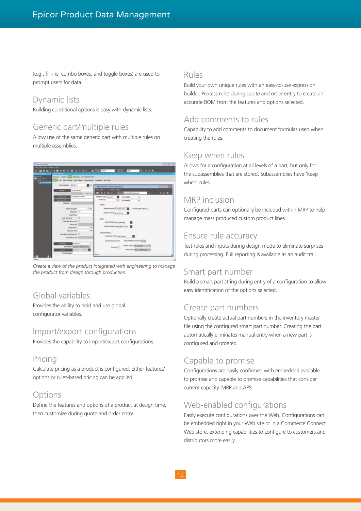(e.g., fill-ins, combo boxes, and toggle boxes) are used to prompt users for data.

## Dynamic lists

Building conditional options is easy with dynamic lists.

## Generic part/multiple rules

Allow use of the same generic part with multiple rules on multiple assemblies.



*Create a view of the product integrated with engineering to manage the product from design through production.*

## Global variables

Provides the ability to hold and use global configurator variables.

## Import/export configurations

Provides the capability to import/export configurations.

## Pricing

Calculate pricing as a product is configured. Either features/ options or rules-based pricing can be applied.

## **Options**

Define the features and options of a product at design time, then customize during quote and order entry.

#### Rules

Build your own unique rules with an easy-to-use expression builder. Process rules during quote and order entry to create an accurate BOM from the features and options selected.

## Add comments to rules

Capability to add comments to document formulas used when creating the rules.

## Keep when rules

Allows for a configuration at all levels of a part, but only for the subassemblies that are stored. Subassemblies have 'keep when' rules.

## MRP inclusion

Configured parts can optionally be included within MRP to help manage mass produced custom product lines.

## Ensure rule accuracy

Test rules and inputs during design mode to eliminate surprises during processing. Full reporting is available as an audit trail.

## Smart part number

Build a smart part string during entry of a configuration to allow easy identification of the options selected.

## Create part numbers

Optionally create actual part numbers in the inventory master file using the configured smart part number. Creating the part automatically eliminates manual entry when a new part is configured and ordered.

## Capable to promise

Configurations are easily confirmed with embedded available to promise and capable to promise capabilities that consider current capacity, MRP and APS.

## Web-enabled configurations

Easily execute configurations over the Web. Configurations can be embedded right in your Web site or in a Commerce Connect Web store, extending capabilities to configure to customers and distributors more easily.